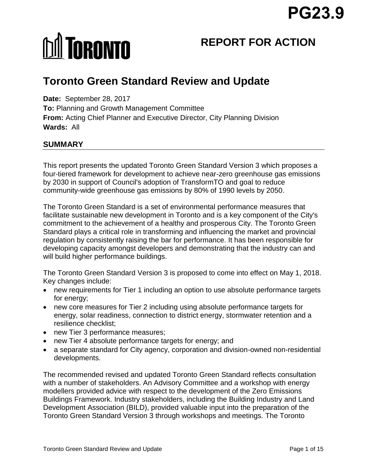# **MI TORONTO**

# **REPORT FOR ACTION**

# **Toronto Green Standard Review and Update**

**Date:** September 28, 2017 **To:** Planning and Growth Management Committee **From:** Acting Chief Planner and Executive Director, City Planning Division **Wards:** All

# **SUMMARY**

This report presents the updated Toronto Green Standard Version 3 which proposes a four-tiered framework for development to achieve near-zero greenhouse gas emissions by 2030 in support of Council's adoption of TransformTO and goal to reduce community-wide greenhouse gas emissions by 80% of 1990 levels by 2050.

The Toronto Green Standard is a set of environmental performance measures that facilitate sustainable new development in Toronto and is a key component of the City's commitment to the achievement of a healthy and prosperous City. The Toronto Green Standard plays a critical role in transforming and influencing the market and provincial regulation by consistently raising the bar for performance. It has been responsible for developing capacity amongst developers and demonstrating that the industry can and will build higher performance buildings.

The Toronto Green Standard Version 3 is proposed to come into effect on May 1, 2018. Key changes include:

- new requirements for Tier 1 including an option to use absolute performance targets for energy;
- new core measures for Tier 2 including using absolute performance targets for energy, solar readiness, connection to district energy, stormwater retention and a resilience checklist;
- new Tier 3 performance measures;
- new Tier 4 absolute performance targets for energy; and
- a separate standard for City agency, corporation and division-owned non-residential developments.

The recommended revised and updated Toronto Green Standard reflects consultation with a number of stakeholders. An Advisory Committee and a workshop with energy modellers provided advice with respect to the development of the Zero Emissions Buildings Framework. Industry stakeholders, including the Building Industry and Land Development Association (BILD), provided valuable input into the preparation of the Toronto Green Standard Version 3 through workshops and meetings. The Toronto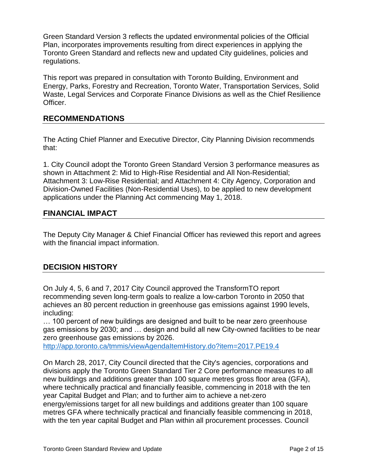Green Standard Version 3 reflects the updated environmental policies of the Official Plan, incorporates improvements resulting from direct experiences in applying the Toronto Green Standard and reflects new and updated City guidelines, policies and regulations.

This report was prepared in consultation with Toronto Building, Environment and Energy, Parks, Forestry and Recreation, Toronto Water, Transportation Services, Solid Waste, Legal Services and Corporate Finance Divisions as well as the Chief Resilience Officer.

# **RECOMMENDATIONS**

The Acting Chief Planner and Executive Director, City Planning Division recommends that:

1. City Council adopt the Toronto Green Standard Version 3 performance measures as shown in Attachment 2: Mid to High-Rise Residential and All Non-Residential; Attachment 3: Low-Rise Residential; and Attachment 4: City Agency, Corporation and Division-Owned Facilities (Non-Residential Uses), to be applied to new development applications under the Planning Act commencing May 1, 2018.

# **FINANCIAL IMPACT**

The Deputy City Manager & Chief Financial Officer has reviewed this report and agrees with the financial impact information.

# **DECISION HISTORY**

On July 4, 5, 6 and 7, 2017 City Council approved the TransformTO report recommending seven long-term goals to realize a low-carbon Toronto in 2050 that achieves an 80 percent reduction in greenhouse gas emissions against 1990 levels, including:

… 100 percent of new buildings are designed and built to be near zero greenhouse gas emissions by 2030; and … design and build all new City-owned facilities to be near zero greenhouse gas emissions by 2026.

<http://app.toronto.ca/tmmis/viewAgendaItemHistory.do?item=2017.PE19.4>

On March 28, 2017, City Council directed that the City's agencies, corporations and divisions apply the Toronto Green Standard Tier 2 Core performance measures to all new buildings and additions greater than 100 square metres gross floor area (GFA), where technically practical and financially feasible, commencing in 2018 with the ten year Capital Budget and Plan; and to further aim to achieve a net-zero energy/emissions target for all new buildings and additions greater than 100 square metres GFA where technically practical and financially feasible commencing in 2018, with the ten year capital Budget and Plan within all procurement processes. Council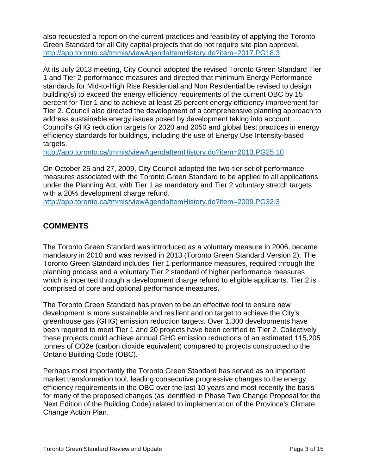also requested a report on the current practices and feasibility of applying the Toronto Green Standard for all City capital projects that do not require site plan approval. <http://app.toronto.ca/tmmis/viewAgendaItemHistory.do?item=2017.PG18.3>

At its July 2013 meeting, City Council adopted the revised Toronto Green Standard Tier 1 and Tier 2 performance measures and directed that minimum Energy Performance standards for Mid-to-High Rise Residential and Non Residential be revised to design building(s) to exceed the energy efficiency requirements of the current OBC by 15 percent for Tier 1 and to achieve at least 25 percent energy efficiency improvement for Tier 2. Council also directed the development of a comprehensive planning approach to address sustainable energy issues posed by development taking into account: … Council's GHG reduction targets for 2020 and 2050 and global best practices in energy efficiency standards for buildings, including the use of Energy Use Intensity-based targets.

<http://app.toronto.ca/tmmis/viewAgendaItemHistory.do?item=2013.PG25.10>

On October 26 and 27, 2009, City Council adopted the two-tier set of performance measures associated with the Toronto Green Standard to be applied to all applications under the Planning Act, with Tier 1 as mandatory and Tier 2 voluntary stretch targets with a 20% development charge refund.

<http://app.toronto.ca/tmmis/viewAgendaItemHistory.do?item=2009.PG32.3>

# **COMMENTS**

The Toronto Green Standard was introduced as a voluntary measure in 2006, became mandatory in 2010 and was revised in 2013 (Toronto Green Standard Version 2). The Toronto Green Standard includes Tier 1 performance measures, required through the planning process and a voluntary Tier 2 standard of higher performance measures which is incented through a development charge refund to eligible applicants. Tier 2 is comprised of core and optional performance measures.

The Toronto Green Standard has proven to be an effective tool to ensure new development is more sustainable and resilient and on target to achieve the City's greenhouse gas (GHG) emission reduction targets. Over 1,300 developments have been required to meet Tier 1 and 20 projects have been certified to Tier 2. Collectively these projects could achieve annual GHG emission reductions of an estimated 115,205 tonnes of CO2e (carbon dioxide equivalent) compared to projects constructed to the Ontario Building Code (OBC).

Perhaps most importantly the Toronto Green Standard has served as an important market transformation tool, leading consecutive progressive changes to the energy efficiency requirements in the OBC over the last 10 years and most recently the basis for many of the proposed changes (as identified in Phase Two Change Proposal for the Next Edition of the Building Code) related to implementation of the Province's Climate Change Action Plan.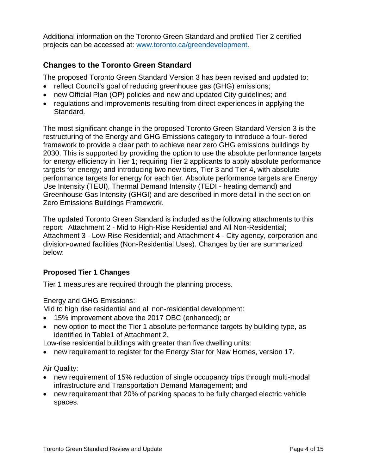Additional information on the Toronto Green Standard and profiled Tier 2 certified projects can be accessed at: [www.toronto.ca/greendevelopment.](http://www.toronto.ca/greendevelopment)

# **Changes to the Toronto Green Standard**

The proposed Toronto Green Standard Version 3 has been revised and updated to:

- reflect Council's goal of reducing greenhouse gas (GHG) emissions;
- new Official Plan (OP) policies and new and updated City guidelines; and
- regulations and improvements resulting from direct experiences in applying the Standard.

The most significant change in the proposed Toronto Green Standard Version 3 is the restructuring of the Energy and GHG Emissions category to introduce a four- tiered framework to provide a clear path to achieve near zero GHG emissions buildings by 2030. This is supported by providing the option to use the absolute performance targets for energy efficiency in Tier 1; requiring Tier 2 applicants to apply absolute performance targets for energy; and introducing two new tiers, Tier 3 and Tier 4, with absolute performance targets for energy for each tier. Absolute performance targets are Energy Use Intensity (TEUI), Thermal Demand Intensity (TEDI - heating demand) and Greenhouse Gas Intensity (GHGI) and are described in more detail in the section on Zero Emissions Buildings Framework.

The updated Toronto Green Standard is included as the following attachments to this report: Attachment 2 - Mid to High-Rise Residential and All Non-Residential; Attachment 3 - Low-Rise Residential; and Attachment 4 - City agency, corporation and division-owned facilities (Non-Residential Uses). Changes by tier are summarized below:

#### **Proposed Tier 1 Changes**

Tier 1 measures are required through the planning process.

Energy and GHG Emissions:

Mid to high rise residential and all non-residential development:

- 15% improvement above the 2017 OBC (enhanced); or
- new option to meet the Tier 1 absolute performance targets by building type, as identified in Table1 of Attachment 2.

Low-rise residential buildings with greater than five dwelling units:

new requirement to register for the Energy Star for New Homes, version 17.

Air Quality:

- new requirement of 15% reduction of single occupancy trips through multi-modal infrastructure and Transportation Demand Management; and
- new requirement that 20% of parking spaces to be fully charged electric vehicle spaces.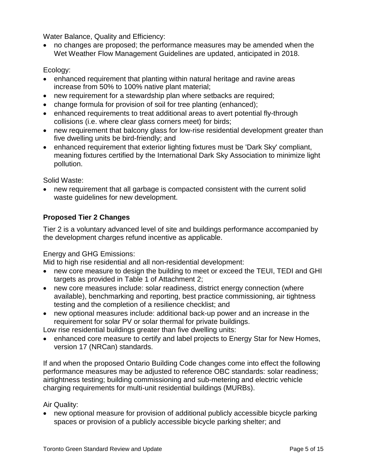Water Balance, Quality and Efficiency:

 no changes are proposed; the performance measures may be amended when the Wet Weather Flow Management Guidelines are updated, anticipated in 2018.

#### Ecology:

- enhanced requirement that planting within natural heritage and ravine areas increase from 50% to 100% native plant material;
- new requirement for a stewardship plan where setbacks are required;
- change formula for provision of soil for tree planting (enhanced);
- enhanced requirements to treat additional areas to avert potential fly-through collisions (i.e. where clear glass corners meet) for birds;
- new requirement that balcony glass for low-rise residential development greater than five dwelling units be bird-friendly; and
- enhanced requirement that exterior lighting fixtures must be 'Dark Sky' compliant, meaning fixtures certified by the International Dark Sky Association to minimize light pollution.

Solid Waste:

 new requirement that all garbage is compacted consistent with the current solid waste guidelines for new development.

## **Proposed Tier 2 Changes**

Tier 2 is a voluntary advanced level of site and buildings performance accompanied by the development charges refund incentive as applicable.

#### Energy and GHG Emissions:

Mid to high rise residential and all non-residential development:

- new core measure to design the building to meet or exceed the TEUI, TEDI and GHI targets as provided in Table 1 of Attachment 2;
- new core measures include: solar readiness, district energy connection (where available), benchmarking and reporting, best practice commissioning, air tightness testing and the completion of a resilience checklist; and
- new optional measures include: additional back-up power and an increase in the requirement for solar PV or solar thermal for private buildings.

Low rise residential buildings greater than five dwelling units:

 enhanced core measure to certify and label projects to Energy Star for New Homes, version 17 (NRCan) standards.

If and when the proposed Ontario Building Code changes come into effect the following performance measures may be adjusted to reference OBC standards: solar readiness; airtightness testing; building commissioning and sub-metering and electric vehicle charging requirements for multi-unit residential buildings (MURBs).

#### Air Quality:

 new optional measure for provision of additional publicly accessible bicycle parking spaces or provision of a publicly accessible bicycle parking shelter; and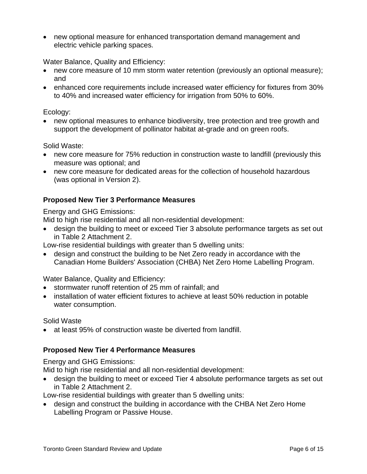new optional measure for enhanced transportation demand management and electric vehicle parking spaces.

Water Balance, Quality and Efficiency:

- new core measure of 10 mm storm water retention (previously an optional measure); and
- enhanced core requirements include increased water efficiency for fixtures from 30% to 40% and increased water efficiency for irrigation from 50% to 60%.

#### Ecology:

 new optional measures to enhance biodiversity, tree protection and tree growth and support the development of pollinator habitat at-grade and on green roofs.

Solid Waste:

- new core measure for 75% reduction in construction waste to landfill (previously this measure was optional; and
- new core measure for dedicated areas for the collection of household hazardous (was optional in Version 2).

#### **Proposed New Tier 3 Performance Measures**

Energy and GHG Emissions:

Mid to high rise residential and all non-residential development:

 design the building to meet or exceed Tier 3 absolute performance targets as set out in Table 2 Attachment 2.

Low-rise residential buildings with greater than 5 dwelling units:

 design and construct the building to be Net Zero ready in accordance with the Canadian Home Builders' Association (CHBA) Net Zero Home Labelling Program.

Water Balance, Quality and Efficiency:

- stormwater runoff retention of 25 mm of rainfall: and
- installation of water efficient fixtures to achieve at least 50% reduction in potable water consumption.

Solid Waste

at least 95% of construction waste be diverted from landfill.

#### **Proposed New Tier 4 Performance Measures**

Energy and GHG Emissions:

Mid to high rise residential and all non-residential development:

 design the building to meet or exceed Tier 4 absolute performance targets as set out in Table 2 Attachment 2.

Low-rise residential buildings with greater than 5 dwelling units:

 design and construct the building in accordance with the CHBA Net Zero Home Labelling Program or Passive House.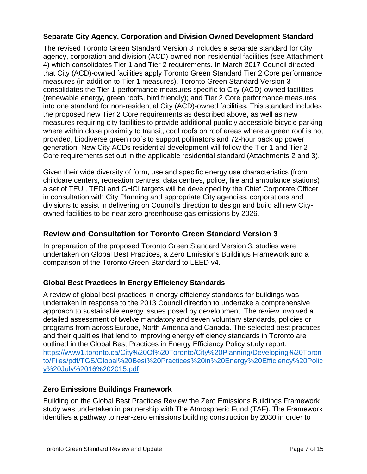## **Separate City Agency, Corporation and Division Owned Development Standard**

The revised Toronto Green Standard Version 3 includes a separate standard for City agency, corporation and division (ACD)-owned non-residential facilities (see Attachment 4) which consolidates Tier 1 and Tier 2 requirements. In March 2017 Council directed that City (ACD)-owned facilities apply Toronto Green Standard Tier 2 Core performance measures (in addition to Tier 1 measures). Toronto Green Standard Version 3 consolidates the Tier 1 performance measures specific to City (ACD)-owned facilities (renewable energy, green roofs, bird friendly); and Tier 2 Core performance measures into one standard for non-residential City (ACD)-owned facilities. This standard includes the proposed new Tier 2 Core requirements as described above, as well as new measures requiring city facilities to provide additional publicly accessible bicycle parking where within close proximity to transit, cool roofs on roof areas where a green roof is not provided, biodiverse green roofs to support pollinators and 72-hour back up power generation. New City ACDs residential development will follow the Tier 1 and Tier 2 Core requirements set out in the applicable residential standard (Attachments 2 and 3).

Given their wide diversity of form, use and specific energy use characteristics (from childcare centers, recreation centres, data centres, police, fire and ambulance stations) a set of TEUI, TEDI and GHGI targets will be developed by the Chief Corporate Officer in consultation with City Planning and appropriate City agencies, corporations and divisions to assist in delivering on Council's direction to design and build all new Cityowned facilities to be near zero greenhouse gas emissions by 2026.

# **Review and Consultation for Toronto Green Standard Version 3**

In preparation of the proposed Toronto Green Standard Version 3, studies were undertaken on Global Best Practices, a Zero Emissions Buildings Framework and a comparison of the Toronto Green Standard to LEED v4.

# **Global Best Practices in Energy Efficiency Standards**

A review of global best practices in energy efficiency standards for buildings was undertaken in response to the 2013 Council direction to undertake a comprehensive approach to sustainable energy issues posed by development. The review involved a detailed assessment of twelve mandatory and seven voluntary standards, policies or programs from across Europe, North America and Canada. The selected best practices and their qualities that lend to improving energy efficiency standards in Toronto are outlined in the Global Best Practices in Energy Efficiency Policy study report. [https://www1.toronto.ca/City%20Of%20Toronto/City%20Planning/Developing%20Toron](https://www1.toronto.ca/City%20Of%20Toronto/City%20Planning/Developing%20Toronto/Files/pdf/TGS/Global%20Best%20Practices%20in%20Energy%20Efficiency%20Policy%20July%2016%202015.pdf) [to/Files/pdf/TGS/Global%20Best%20Practices%20in%20Energy%20Efficiency%20Polic](https://www1.toronto.ca/City%20Of%20Toronto/City%20Planning/Developing%20Toronto/Files/pdf/TGS/Global%20Best%20Practices%20in%20Energy%20Efficiency%20Policy%20July%2016%202015.pdf) [y%20July%2016%202015.pdf](https://www1.toronto.ca/City%20Of%20Toronto/City%20Planning/Developing%20Toronto/Files/pdf/TGS/Global%20Best%20Practices%20in%20Energy%20Efficiency%20Policy%20July%2016%202015.pdf)

#### **Zero Emissions Buildings Framework**

Building on the Global Best Practices Review the Zero Emissions Buildings Framework study was undertaken in partnership with The Atmospheric Fund (TAF). The Framework identifies a pathway to near-zero emissions building construction by 2030 in order to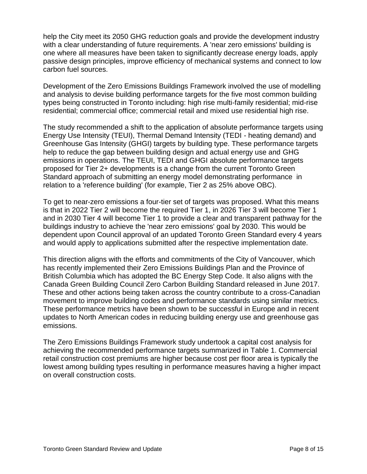help the City meet its 2050 GHG reduction goals and provide the development industry with a clear understanding of future requirements. A 'near zero emissions' building is one where all measures have been taken to significantly decrease energy loads, apply passive design principles, improve efficiency of mechanical systems and connect to low carbon fuel sources.

Development of the Zero Emissions Buildings Framework involved the use of modelling and analysis to devise building performance targets for the five most common building types being constructed in Toronto including: high rise multi-family residential; mid-rise residential; commercial office; commercial retail and mixed use residential high rise.

The study recommended a shift to the application of absolute performance targets using Energy Use Intensity (TEUI), Thermal Demand Intensity (TEDI - heating demand) and Greenhouse Gas Intensity (GHGI) targets by building type. These performance targets help to reduce the gap between building design and actual energy use and GHG emissions in operations. The TEUI, TEDI and GHGI absolute performance targets proposed for Tier 2+ developments is a change from the current Toronto Green Standard approach of submitting an energy model demonstrating performance in relation to a 'reference building' (for example, Tier 2 as 25% above OBC).

To get to near-zero emissions a four-tier set of targets was proposed. What this means is that in 2022 Tier 2 will become the required Tier 1, in 2026 Tier 3 will become Tier 1 and in 2030 Tier 4 will become Tier 1 to provide a clear and transparent pathway for the buildings industry to achieve the 'near zero emissions' goal by 2030. This would be dependent upon Council approval of an updated Toronto Green Standard every 4 years and would apply to applications submitted after the respective implementation date.

This direction aligns with the efforts and commitments of the City of Vancouver, which has recently implemented their Zero Emissions Buildings Plan and the Province of British Columbia which has adopted the BC Energy Step Code. It also aligns with the Canada Green Building Council Zero Carbon Building Standard released in June 2017. These and other actions being taken across the country contribute to a cross-Canadian movement to improve building codes and performance standards using similar metrics. These performance metrics have been shown to be successful in Europe and in recent updates to North American codes in reducing building energy use and greenhouse gas emissions.

The Zero Emissions Buildings Framework study undertook a capital cost analysis for achieving the recommended performance targets summarized in Table 1. Commercial retail construction cost premiums are higher because cost per floor area is typically the lowest among building types resulting in performance measures having a higher impact on overall construction costs.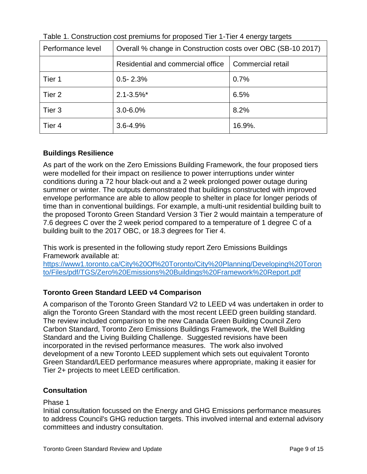| Performance level | Overall % change in Construction costs over OBC (SB-10 2017) |                   |
|-------------------|--------------------------------------------------------------|-------------------|
|                   | Residential and commercial office                            | Commercial retail |
| Tier 1            | $0.5 - 2.3%$                                                 | 0.7%              |
| Tier <sub>2</sub> | $2.1 - 3.5\%$ *                                              | 6.5%              |
| Tier 3            | $3.0 - 6.0\%$                                                | 8.2%              |
| Tier 4            | $3.6 - 4.9%$                                                 | 16.9%.            |

Table 1. Construction cost premiums for proposed Tier 1-Tier 4 energy targets

# **Buildings Resilience**

As part of the work on the Zero Emissions Building Framework, the four proposed tiers were modelled for their impact on resilience to power interruptions under winter conditions during a 72 hour black-out and a 2 week prolonged power outage during summer or winter. The outputs demonstrated that buildings constructed with improved envelope performance are able to allow people to shelter in place for longer periods of time than in conventional buildings. For example, a multi-unit residential building built to the proposed Toronto Green Standard Version 3 Tier 2 would maintain a temperature of 7.6 degrees C over the 2 week period compared to a temperature of 1 degree C of a building built to the 2017 OBC, or 18.3 degrees for Tier 4.

This work is presented in the following study report Zero Emissions Buildings Framework available at:

[https://www1.toronto.ca/City%20Of%20Toronto/City%20Planning/Developing%20Toron](https://www1.toronto.ca/City%20Of%20Toronto/City%20Planning/Developing%20Toronto/Files/pdf/TGS/Zero%20Emissions%20Buildings%20Framework%20Report.pdf) [to/Files/pdf/TGS/Zero%20Emissions%20Buildings%20Framework%20Report.pdf](https://www1.toronto.ca/City%20Of%20Toronto/City%20Planning/Developing%20Toronto/Files/pdf/TGS/Zero%20Emissions%20Buildings%20Framework%20Report.pdf)

# **Toronto Green Standard LEED v4 Comparison**

A comparison of the Toronto Green Standard V2 to LEED v4 was undertaken in order to align the Toronto Green Standard with the most recent LEED green building standard. The review included comparison to the new Canada Green Building Council Zero Carbon Standard, Toronto Zero Emissions Buildings Framework, the Well Building Standard and the Living Building Challenge. Suggested revisions have been incorporated in the revised performance measures. The work also involved development of a new Toronto LEED supplement which sets out equivalent Toronto Green Standard/LEED performance measures where appropriate, making it easier for Tier 2+ projects to meet LEED certification.

# **Consultation**

Phase 1

Initial consultation focussed on the Energy and GHG Emissions performance measures to address Council's GHG reduction targets. This involved internal and external advisory committees and industry consultation.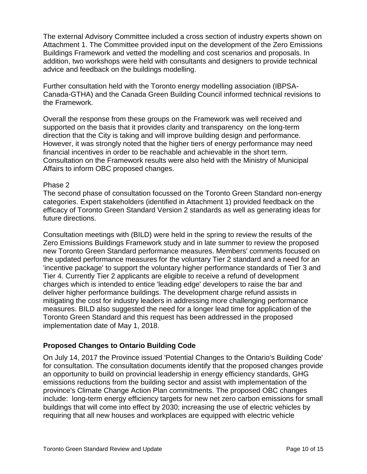The external Advisory Committee included a cross section of industry experts shown on Attachment 1. The Committee provided input on the development of the Zero Emissions Buildings Framework and vetted the modelling and cost scenarios and proposals. In addition, two workshops were held with consultants and designers to provide technical advice and feedback on the buildings modelling.

Further consultation held with the Toronto energy modelling association (IBPSA-Canada-GTHA) and the Canada Green Building Council informed technical revisions to the Framework.

Overall the response from these groups on the Framework was well received and supported on the basis that it provides clarity and transparency on the long-term direction that the City is taking and will improve building design and performance. However, it was strongly noted that the higher tiers of energy performance may need financial incentives in order to be reachable and achievable in the short term. Consultation on the Framework results were also held with the Ministry of Municipal Affairs to inform OBC proposed changes.

#### Phase 2

The second phase of consultation focussed on the Toronto Green Standard non-energy categories. Expert stakeholders (identified in Attachment 1) provided feedback on the efficacy of Toronto Green Standard Version 2 standards as well as generating ideas for future directions.

Consultation meetings with (BILD) were held in the spring to review the results of the Zero Emissions Buildings Framework study and in late summer to review the proposed new Toronto Green Standard performance measures. Members' comments focused on the updated performance measures for the voluntary Tier 2 standard and a need for an 'incentive package' to support the voluntary higher performance standards of Tier 3 and Tier 4. Currently Tier 2 applicants are eligible to receive a refund of development charges which is intended to entice 'leading edge' developers to raise the bar and deliver higher performance buildings. The development charge refund assists in mitigating the cost for industry leaders in addressing more challenging performance measures. BILD also suggested the need for a longer lead time for application of the Toronto Green Standard and this request has been addressed in the proposed implementation date of May 1, 2018.

#### **Proposed Changes to Ontario Building Code**

On July 14, 2017 the Province issued 'Potential Changes to the Ontario's Building Code' for consultation. The consultation documents identify that the proposed changes provide an opportunity to build on provincial leadership in energy efficiency standards, GHG emissions reductions from the building sector and assist with implementation of the province's Climate Change Action Plan commitments. The proposed OBC changes include: long-term energy efficiency targets for new net zero carbon emissions for small buildings that will come into effect by 2030; increasing the use of electric vehicles by requiring that all new houses and workplaces are equipped with electric vehicle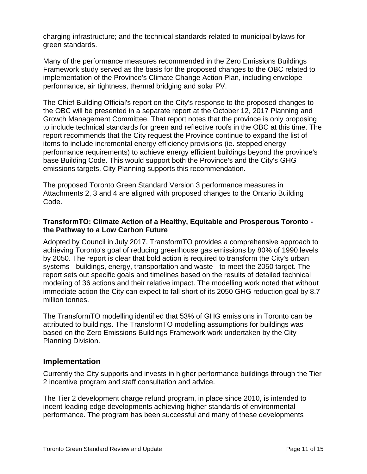charging infrastructure; and the technical standards related to municipal bylaws for green standards.

Many of the performance measures recommended in the Zero Emissions Buildings Framework study served as the basis for the proposed changes to the OBC related to implementation of the Province's Climate Change Action Plan, including envelope performance, air tightness, thermal bridging and solar PV.

The Chief Building Official's report on the City's response to the proposed changes to the OBC will be presented in a separate report at the October 12, 2017 Planning and Growth Management Committee. That report notes that the province is only proposing to include technical standards for green and reflective roofs in the OBC at this time. The report recommends that the City request the Province continue to expand the list of items to include incremental energy efficiency provisions (ie. stepped energy performance requirements) to achieve energy efficient buildings beyond the province's base Building Code. This would support both the Province's and the City's GHG emissions targets. City Planning supports this recommendation.

The proposed Toronto Green Standard Version 3 performance measures in Attachments 2, 3 and 4 are aligned with proposed changes to the Ontario Building Code.

#### **TransformTO: Climate Action of a Healthy, Equitable and Prosperous Toronto the Pathway to a Low Carbon Future**

Adopted by Council in July 2017, TransformTO provides a comprehensive approach to achieving Toronto's goal of reducing greenhouse gas emissions by 80% of 1990 levels by 2050. The report is clear that bold action is required to transform the City's urban systems - buildings, energy, transportation and waste - to meet the 2050 target. The report sets out specific goals and timelines based on the results of detailed technical modeling of 36 actions and their relative impact. The modelling work noted that without immediate action the City can expect to fall short of its 2050 GHG reduction goal by 8.7 million tonnes.

The TransformTO modelling identified that 53% of GHG emissions in Toronto can be attributed to buildings. The TransformTO modelling assumptions for buildings was based on the Zero Emissions Buildings Framework work undertaken by the City Planning Division.

#### **Implementation**

Currently the City supports and invests in higher performance buildings through the Tier 2 incentive program and staff consultation and advice.

The Tier 2 development charge refund program, in place since 2010, is intended to incent leading edge developments achieving higher standards of environmental performance. The program has been successful and many of these developments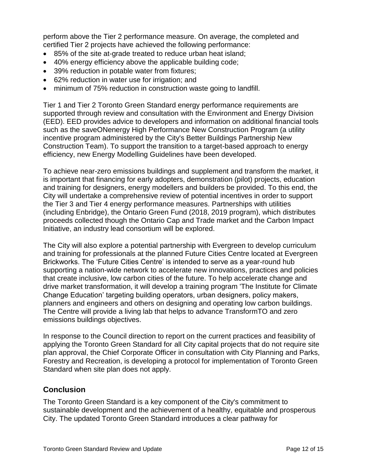perform above the Tier 2 performance measure. On average, the completed and certified Tier 2 projects have achieved the following performance:

- 85% of the site at-grade treated to reduce urban heat island;
- 40% energy efficiency above the applicable building code;
- 39% reduction in potable water from fixtures;
- 62% reduction in water use for irrigation; and
- minimum of 75% reduction in construction waste going to landfill.

Tier 1 and Tier 2 Toronto Green Standard energy performance requirements are supported through review and consultation with the Environment and Energy Division (EED). EED provides advice to developers and information on additional financial tools such as the saveONenergy High Performance New Construction Program (a utility incentive program administered by the City's Better Buildings Partnership New Construction Team). To support the transition to a target-based approach to energy efficiency, new Energy Modelling Guidelines have been developed.

To achieve near-zero emissions buildings and supplement and transform the market, it is important that financing for early adopters, demonstration (pilot) projects, education and training for designers, energy modellers and builders be provided. To this end, the City will undertake a comprehensive review of potential incentives in order to support the Tier 3 and Tier 4 energy performance measures. Partnerships with utilities (including Enbridge), the Ontario Green Fund (2018, 2019 program), which distributes proceeds collected though the Ontario Cap and Trade market and the Carbon Impact Initiative, an industry lead consortium will be explored.

The City will also explore a potential partnership with Evergreen to develop curriculum and training for professionals at the planned Future Cities Centre located at Evergreen Brickworks. The 'Future Cities Centre' is intended to serve as a year-round hub supporting a nation-wide network to accelerate new innovations, practices and policies that create inclusive, low carbon cities of the future. To help accelerate change and drive market transformation, it will develop a training program 'The Institute for Climate Change Education' targeting building operators, urban designers, policy makers, planners and engineers and others on designing and operating low carbon buildings. The Centre will provide a living lab that helps to advance TransformTO and zero emissions buildings objectives.

In response to the Council direction to report on the current practices and feasibility of applying the Toronto Green Standard for all City capital projects that do not require site plan approval, the Chief Corporate Officer in consultation with City Planning and Parks, Forestry and Recreation, is developing a protocol for implementation of Toronto Green Standard when site plan does not apply.

# **Conclusion**

The Toronto Green Standard is a key component of the City's commitment to sustainable development and the achievement of a healthy, equitable and prosperous City. The updated Toronto Green Standard introduces a clear pathway for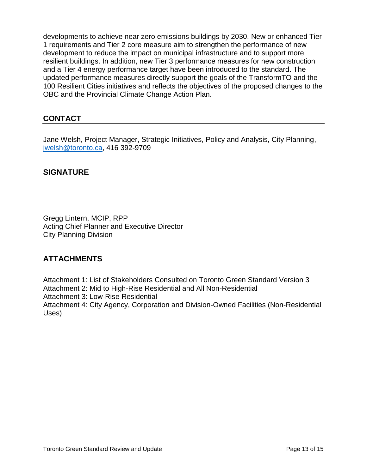developments to achieve near zero emissions buildings by 2030. New or enhanced Tier 1 requirements and Tier 2 core measure aim to strengthen the performance of new development to reduce the impact on municipal infrastructure and to support more resilient buildings. In addition, new Tier 3 performance measures for new construction and a Tier 4 energy performance target have been introduced to the standard. The updated performance measures directly support the goals of the TransformTO and the 100 Resilient Cities initiatives and reflects the objectives of the proposed changes to the OBC and the Provincial Climate Change Action Plan.

# **CONTACT**

Jane Welsh, Project Manager, Strategic Initiatives, Policy and Analysis, City Planning, [jwelsh@toronto.ca,](mailto:jwelsh@toronto.ca) 416 392-9709

# **SIGNATURE**

Gregg Lintern, MCIP, RPP Acting Chief Planner and Executive Director City Planning Division

# **ATTACHMENTS**

Attachment 1: List of Stakeholders Consulted on Toronto Green Standard Version 3 Attachment 2: Mid to High-Rise Residential and All Non-Residential Attachment 3: Low-Rise Residential Attachment 4: City Agency, Corporation and Division-Owned Facilities (Non-Residential Uses)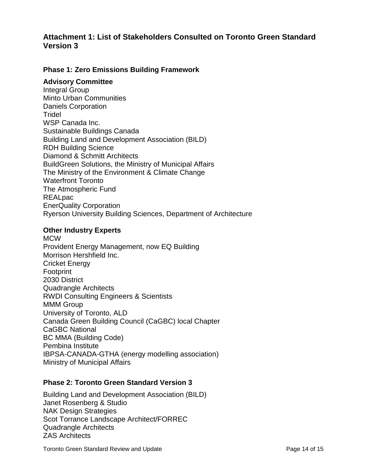# **Attachment 1: List of Stakeholders Consulted on Toronto Green Standard Version 3**

#### **Phase 1: Zero Emissions Building Framework**

#### **Advisory Committee**

Integral Group Minto Urban Communities Daniels Corporation **Tridel** WSP Canada Inc. Sustainable Buildings Canada Building Land and Development Association (BILD) RDH Building Science Diamond & Schmitt Architects BuildGreen Solutions, the Ministry of Municipal Affairs The Ministry of the Environment & Climate Change Waterfront Toronto The Atmospheric Fund REALpac EnerQuality Corporation Ryerson University Building Sciences, Department of Architecture

#### **Other Industry Experts**

MCW Provident Energy Management, now EQ Building Morrison Hershfield Inc. Cricket Energy Footprint 2030 District Quadrangle Architects RWDI Consulting Engineers & Scientists MMM Group University of Toronto, ALD Canada Green Building Council (CaGBC) local Chapter CaGBC National BC MMA (Building Code) Pembina Institute IBPSA-CANADA-GTHA (energy modelling association) Ministry of Municipal Affairs

#### **Phase 2: Toronto Green Standard Version 3**

Building Land and Development Association (BILD) Janet Rosenberg & Studio NAK Design Strategies Scot Torrance Landscape Architect/FORREC Quadrangle Architects ZAS Architects